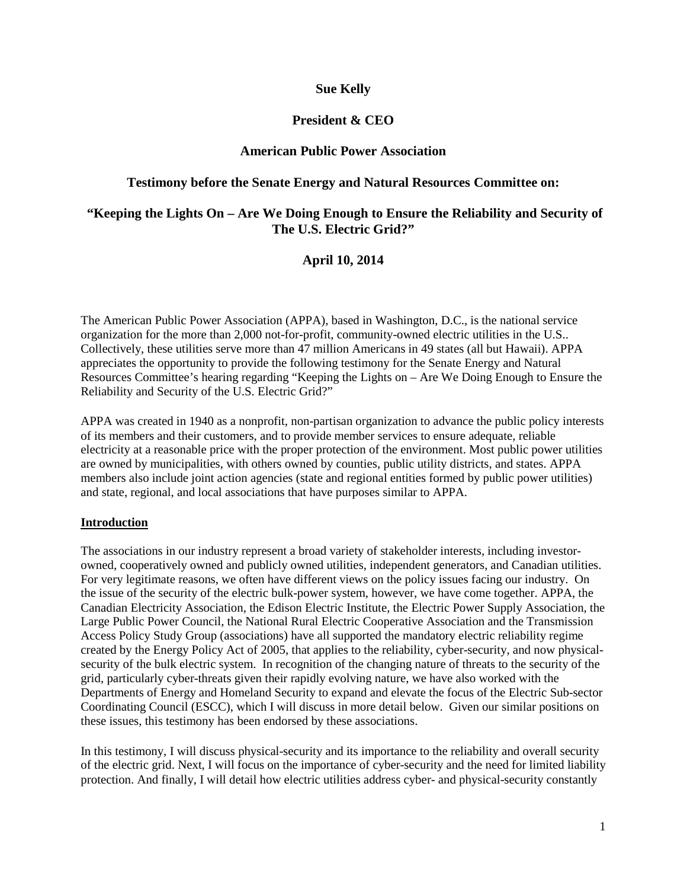### **Sue Kelly**

## **President & CEO**

### **American Public Power Association**

### **Testimony before the Senate Energy and Natural Resources Committee on:**

### **"Keeping the Lights On – Are We Doing Enough to Ensure the Reliability and Security of The U.S. Electric Grid?"**

### **April 10, 2014**

The American Public Power Association (APPA), based in Washington, D.C., is the national service organization for the more than 2,000 not-for-profit, community-owned electric utilities in the U.S.. Collectively, these utilities serve more than 47 million Americans in 49 states (all but Hawaii). APPA appreciates the opportunity to provide the following testimony for the Senate Energy and Natural Resources Committee's hearing regarding "Keeping the Lights on – Are We Doing Enough to Ensure the Reliability and Security of the U.S. Electric Grid?"

APPA was created in 1940 as a nonprofit, non-partisan organization to advance the public policy interests of its members and their customers, and to provide member services to ensure adequate, reliable electricity at a reasonable price with the proper protection of the environment. Most public power utilities are owned by municipalities, with others owned by counties, public utility districts, and states. APPA members also include joint action agencies (state and regional entities formed by public power utilities) and state, regional, and local associations that have purposes similar to APPA.

#### **Introduction**

The associations in our industry represent a broad variety of stakeholder interests, including investorowned, cooperatively owned and publicly owned utilities, independent generators, and Canadian utilities. For very legitimate reasons, we often have different views on the policy issues facing our industry. On the issue of the security of the electric bulk-power system, however, we have come together. APPA, the Canadian Electricity Association, the Edison Electric Institute, the Electric Power Supply Association, the Large Public Power Council, the National Rural Electric Cooperative Association and the Transmission Access Policy Study Group (associations) have all supported the mandatory electric reliability regime created by the Energy Policy Act of 2005, that applies to the reliability, cyber-security, and now physicalsecurity of the bulk electric system. In recognition of the changing nature of threats to the security of the grid, particularly cyber-threats given their rapidly evolving nature, we have also worked with the Departments of Energy and Homeland Security to expand and elevate the focus of the Electric Sub-sector Coordinating Council (ESCC), which I will discuss in more detail below. Given our similar positions on these issues, this testimony has been endorsed by these associations.

In this testimony, I will discuss physical-security and its importance to the reliability and overall security of the electric grid. Next, I will focus on the importance of cyber-security and the need for limited liability protection. And finally, I will detail how electric utilities address cyber- and physical-security constantly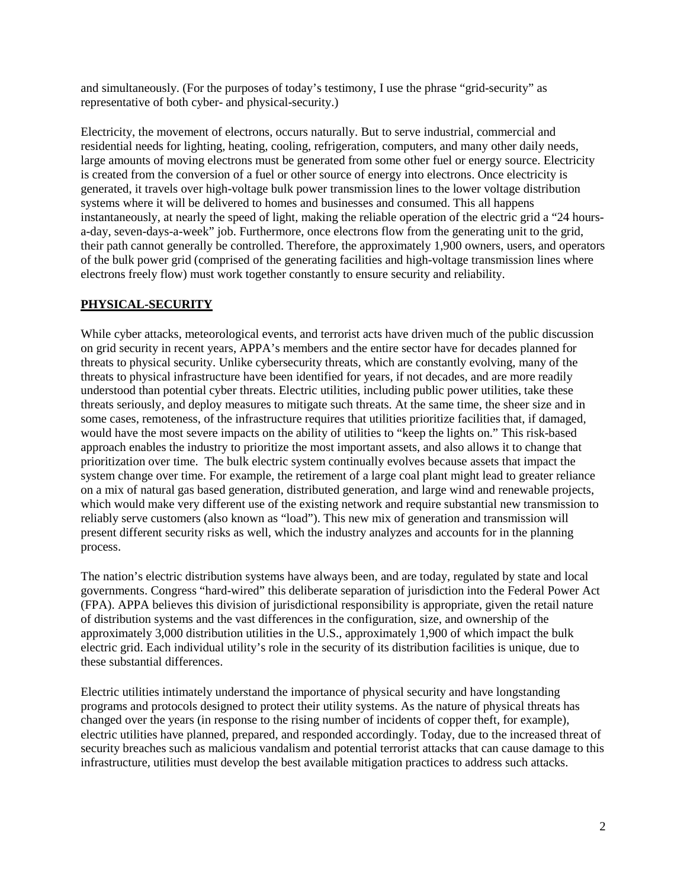and simultaneously. (For the purposes of today's testimony, I use the phrase "grid-security" as representative of both cyber- and physical-security.)

Electricity, the movement of electrons, occurs naturally. But to serve industrial, commercial and residential needs for lighting, heating, cooling, refrigeration, computers, and many other daily needs, large amounts of moving electrons must be generated from some other fuel or energy source. Electricity is created from the conversion of a fuel or other source of energy into electrons. Once electricity is generated, it travels over high-voltage bulk power transmission lines to the lower voltage distribution systems where it will be delivered to homes and businesses and consumed. This all happens instantaneously, at nearly the speed of light, making the reliable operation of the electric grid a "24 hoursa-day, seven-days-a-week" job. Furthermore, once electrons flow from the generating unit to the grid, their path cannot generally be controlled. Therefore, the approximately 1,900 owners, users, and operators of the bulk power grid (comprised of the generating facilities and high-voltage transmission lines where electrons freely flow) must work together constantly to ensure security and reliability.

### **PHYSICAL-SECURITY**

While cyber attacks, meteorological events, and terrorist acts have driven much of the public discussion on grid security in recent years, APPA's members and the entire sector have for decades planned for threats to physical security. Unlike cybersecurity threats, which are constantly evolving, many of the threats to physical infrastructure have been identified for years, if not decades, and are more readily understood than potential cyber threats. Electric utilities, including public power utilities, take these threats seriously, and deploy measures to mitigate such threats. At the same time, the sheer size and in some cases, remoteness, of the infrastructure requires that utilities prioritize facilities that, if damaged, would have the most severe impacts on the ability of utilities to "keep the lights on." This risk-based approach enables the industry to prioritize the most important assets, and also allows it to change that prioritization over time. The bulk electric system continually evolves because assets that impact the system change over time. For example, the retirement of a large coal plant might lead to greater reliance on a mix of natural gas based generation, distributed generation, and large wind and renewable projects, which would make very different use of the existing network and require substantial new transmission to reliably serve customers (also known as "load"). This new mix of generation and transmission will present different security risks as well, which the industry analyzes and accounts for in the planning process.

The nation's electric distribution systems have always been, and are today, regulated by state and local governments. Congress "hard-wired" this deliberate separation of jurisdiction into the Federal Power Act (FPA). APPA believes this division of jurisdictional responsibility is appropriate, given the retail nature of distribution systems and the vast differences in the configuration, size, and ownership of the approximately 3,000 distribution utilities in the U.S., approximately 1,900 of which impact the bulk electric grid. Each individual utility's role in the security of its distribution facilities is unique, due to these substantial differences.

Electric utilities intimately understand the importance of physical security and have longstanding programs and protocols designed to protect their utility systems. As the nature of physical threats has changed over the years (in response to the rising number of incidents of copper theft, for example), electric utilities have planned, prepared, and responded accordingly. Today, due to the increased threat of security breaches such as malicious vandalism and potential terrorist attacks that can cause damage to this infrastructure, utilities must develop the best available mitigation practices to address such attacks.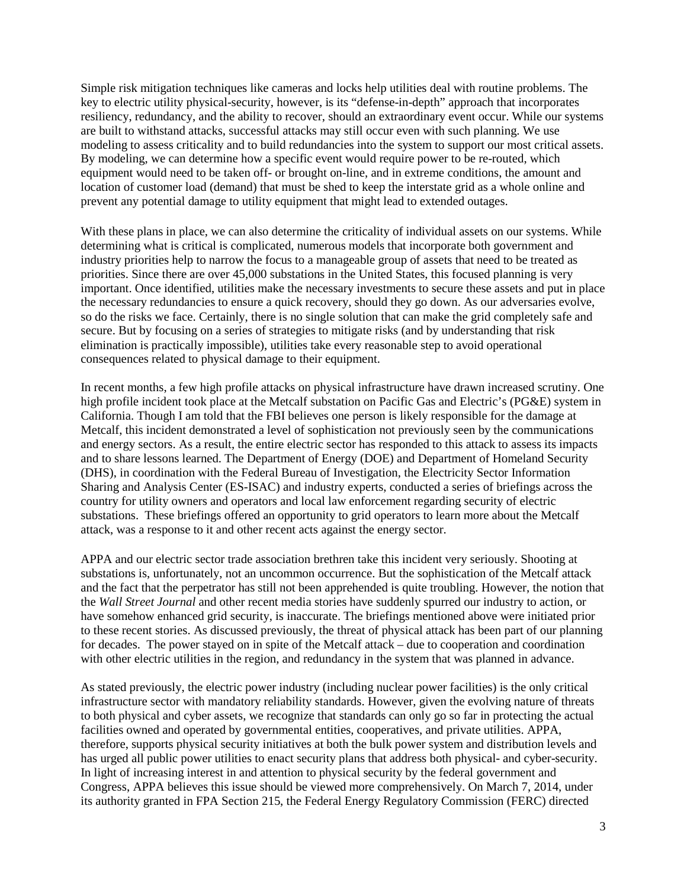Simple risk mitigation techniques like cameras and locks help utilities deal with routine problems. The key to electric utility physical-security, however, is its "defense-in-depth" approach that incorporates resiliency, redundancy, and the ability to recover, should an extraordinary event occur. While our systems are built to withstand attacks, successful attacks may still occur even with such planning. We use modeling to assess criticality and to build redundancies into the system to support our most critical assets. By modeling, we can determine how a specific event would require power to be re-routed, which equipment would need to be taken off- or brought on-line, and in extreme conditions, the amount and location of customer load (demand) that must be shed to keep the interstate grid as a whole online and prevent any potential damage to utility equipment that might lead to extended outages.

With these plans in place, we can also determine the criticality of individual assets on our systems. While determining what is critical is complicated, numerous models that incorporate both government and industry priorities help to narrow the focus to a manageable group of assets that need to be treated as priorities. Since there are over 45,000 substations in the United States, this focused planning is very important. Once identified, utilities make the necessary investments to secure these assets and put in place the necessary redundancies to ensure a quick recovery, should they go down. As our adversaries evolve, so do the risks we face. Certainly, there is no single solution that can make the grid completely safe and secure. But by focusing on a series of strategies to mitigate risks (and by understanding that risk elimination is practically impossible), utilities take every reasonable step to avoid operational consequences related to physical damage to their equipment.

In recent months, a few high profile attacks on physical infrastructure have drawn increased scrutiny. One high profile incident took place at the Metcalf substation on Pacific Gas and Electric's (PG&E) system in California. Though I am told that the FBI believes one person is likely responsible for the damage at Metcalf, this incident demonstrated a level of sophistication not previously seen by the communications and energy sectors. As a result, the entire electric sector has responded to this attack to assess its impacts and to share lessons learned. The Department of Energy (DOE) and Department of Homeland Security (DHS), in coordination with the Federal Bureau of Investigation, the Electricity Sector Information Sharing and Analysis Center (ES-ISAC) and industry experts, conducted a series of briefings across the country for utility owners and operators and local law enforcement regarding security of electric substations. These briefings offered an opportunity to grid operators to learn more about the Metcalf attack, was a response to it and other recent acts against the energy sector.

APPA and our electric sector trade association brethren take this incident very seriously. Shooting at substations is, unfortunately, not an uncommon occurrence. But the sophistication of the Metcalf attack and the fact that the perpetrator has still not been apprehended is quite troubling. However, the notion that the *Wall Street Journal* and other recent media stories have suddenly spurred our industry to action, or have somehow enhanced grid security, is inaccurate. The briefings mentioned above were initiated prior to these recent stories. As discussed previously, the threat of physical attack has been part of our planning for decades. The power stayed on in spite of the Metcalf attack – due to cooperation and coordination with other electric utilities in the region, and redundancy in the system that was planned in advance.

As stated previously, the electric power industry (including nuclear power facilities) is the only critical infrastructure sector with mandatory reliability standards. However, given the evolving nature of threats to both physical and cyber assets, we recognize that standards can only go so far in protecting the actual facilities owned and operated by governmental entities, cooperatives, and private utilities. APPA, therefore, supports physical security initiatives at both the bulk power system and distribution levels and has urged all public power utilities to enact security plans that address both physical- and cyber-security. In light of increasing interest in and attention to physical security by the federal government and Congress, APPA believes this issue should be viewed more comprehensively. On March 7, 2014, under its authority granted in FPA Section 215, the Federal Energy Regulatory Commission (FERC) directed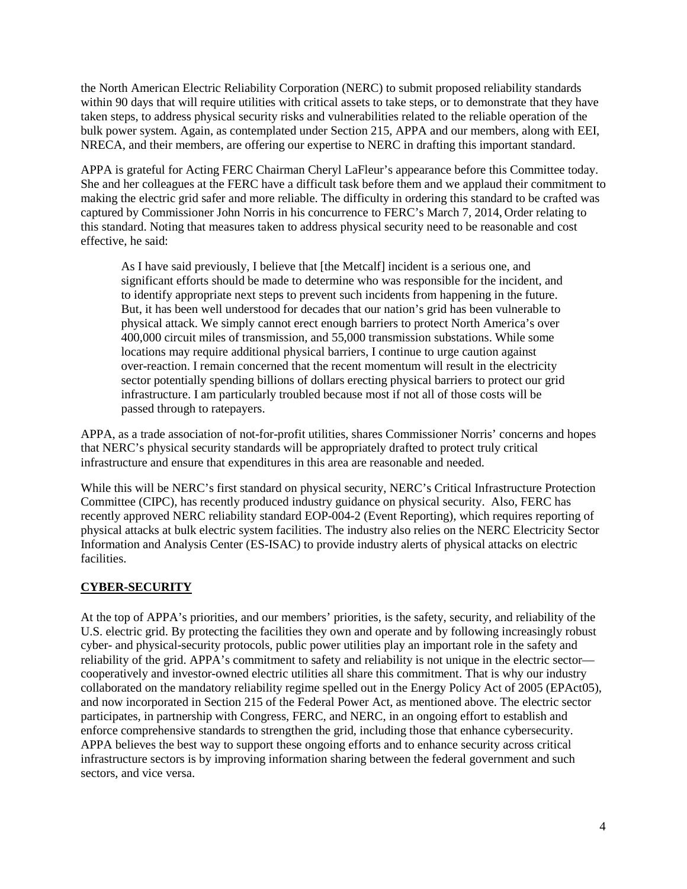the North American Electric Reliability Corporation (NERC) to submit proposed reliability standards within 90 days that will require utilities with critical assets to take steps, or to demonstrate that they have taken steps, to address physical security risks and vulnerabilities related to the reliable operation of the bulk power system. Again, as contemplated under Section 215, APPA and our members, along with EEI, NRECA, and their members, are offering our expertise to NERC in drafting this important standard.

APPA is grateful for Acting FERC Chairman Cheryl LaFleur's appearance before this Committee today. She and her colleagues at the FERC have a difficult task before them and we applaud their commitment to making the electric grid safer and more reliable. The difficulty in ordering this standard to be crafted was captured by Commissioner John Norris in his concurrence to FERC's March 7, 2014, Order relating to this standard. Noting that measures taken to address physical security need to be reasonable and cost effective, he said:

As I have said previously, I believe that [the Metcalf] incident is a serious one, and significant efforts should be made to determine who was responsible for the incident, and to identify appropriate next steps to prevent such incidents from happening in the future. But, it has been well understood for decades that our nation's grid has been vulnerable to physical attack. We simply cannot erect enough barriers to protect North America's over 400,000 circuit miles of transmission, and 55,000 transmission substations. While some locations may require additional physical barriers, I continue to urge caution against over-reaction. I remain concerned that the recent momentum will result in the electricity sector potentially spending billions of dollars erecting physical barriers to protect our grid infrastructure. I am particularly troubled because most if not all of those costs will be passed through to ratepayers.

APPA, as a trade association of not-for-profit utilities, shares Commissioner Norris' concerns and hopes that NERC's physical security standards will be appropriately drafted to protect truly critical infrastructure and ensure that expenditures in this area are reasonable and needed.

While this will be NERC's first standard on physical security, NERC's Critical Infrastructure Protection Committee (CIPC), has recently produced industry guidance on physical security. Also, FERC has recently approved NERC reliability standard EOP-004-2 (Event Reporting), which requires reporting of physical attacks at bulk electric system facilities. The industry also relies on the NERC Electricity Sector Information and Analysis Center (ES-ISAC) to provide industry alerts of physical attacks on electric facilities.

# **CYBER-SECURITY**

At the top of APPA's priorities, and our members' priorities, is the safety, security, and reliability of the U.S. electric grid. By protecting the facilities they own and operate and by following increasingly robust cyber- and physical-security protocols, public power utilities play an important role in the safety and reliability of the grid. APPA's commitment to safety and reliability is not unique in the electric sector cooperatively and investor-owned electric utilities all share this commitment. That is why our industry collaborated on the mandatory reliability regime spelled out in the Energy Policy Act of 2005 (EPAct05), and now incorporated in Section 215 of the Federal Power Act, as mentioned above. The electric sector participates, in partnership with Congress, FERC, and NERC, in an ongoing effort to establish and enforce comprehensive standards to strengthen the grid, including those that enhance cybersecurity. APPA believes the best way to support these ongoing efforts and to enhance security across critical infrastructure sectors is by improving information sharing between the federal government and such sectors, and vice versa.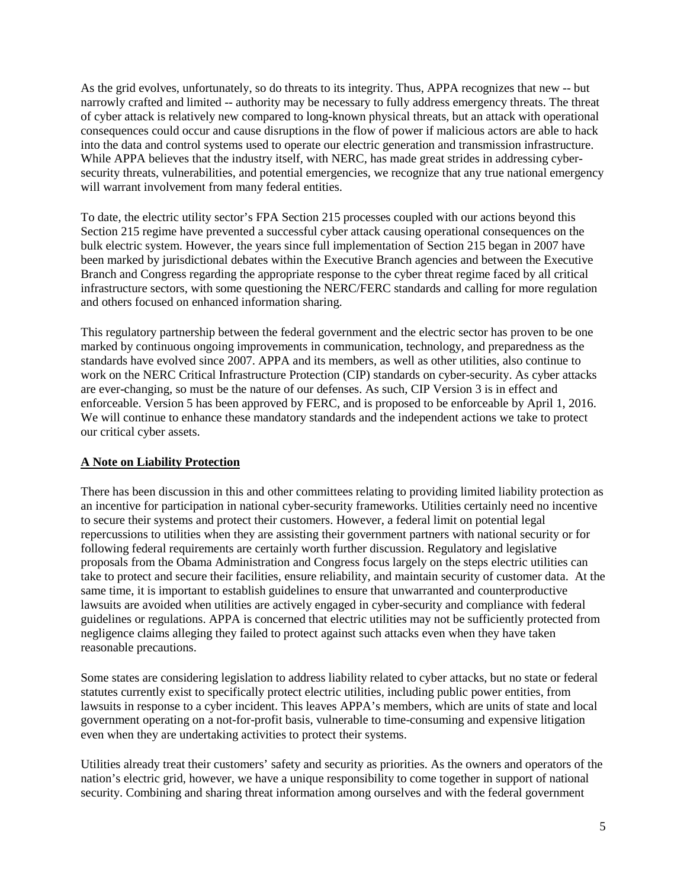As the grid evolves, unfortunately, so do threats to its integrity. Thus, APPA recognizes that new -- but narrowly crafted and limited -- authority may be necessary to fully address emergency threats. The threat of cyber attack is relatively new compared to long-known physical threats, but an attack with operational consequences could occur and cause disruptions in the flow of power if malicious actors are able to hack into the data and control systems used to operate our electric generation and transmission infrastructure. While APPA believes that the industry itself, with NERC, has made great strides in addressing cybersecurity threats, vulnerabilities, and potential emergencies, we recognize that any true national emergency will warrant involvement from many federal entities.

To date, the electric utility sector's FPA Section 215 processes coupled with our actions beyond this Section 215 regime have prevented a successful cyber attack causing operational consequences on the bulk electric system. However, the years since full implementation of Section 215 began in 2007 have been marked by jurisdictional debates within the Executive Branch agencies and between the Executive Branch and Congress regarding the appropriate response to the cyber threat regime faced by all critical infrastructure sectors, with some questioning the NERC/FERC standards and calling for more regulation and others focused on enhanced information sharing.

This regulatory partnership between the federal government and the electric sector has proven to be one marked by continuous ongoing improvements in communication, technology, and preparedness as the standards have evolved since 2007. APPA and its members, as well as other utilities, also continue to work on the NERC Critical Infrastructure Protection (CIP) standards on cyber-security. As cyber attacks are ever-changing, so must be the nature of our defenses. As such, CIP Version 3 is in effect and enforceable. Version 5 has been approved by FERC, and is proposed to be enforceable by April 1, 2016. We will continue to enhance these mandatory standards and the independent actions we take to protect our critical cyber assets.

### **A Note on Liability Protection**

There has been discussion in this and other committees relating to providing limited liability protection as an incentive for participation in national cyber-security frameworks. Utilities certainly need no incentive to secure their systems and protect their customers. However, a federal limit on potential legal repercussions to utilities when they are assisting their government partners with national security or for following federal requirements are certainly worth further discussion. Regulatory and legislative proposals from the Obama Administration and Congress focus largely on the steps electric utilities can take to protect and secure their facilities, ensure reliability, and maintain security of customer data. At the same time, it is important to establish guidelines to ensure that unwarranted and counterproductive lawsuits are avoided when utilities are actively engaged in cyber-security and compliance with federal guidelines or regulations. APPA is concerned that electric utilities may not be sufficiently protected from negligence claims alleging they failed to protect against such attacks even when they have taken reasonable precautions.

Some states are considering legislation to address liability related to cyber attacks, but no state or federal statutes currently exist to specifically protect electric utilities, including public power entities, from lawsuits in response to a cyber incident. This leaves APPA's members, which are units of state and local government operating on a not-for-profit basis, vulnerable to time-consuming and expensive litigation even when they are undertaking activities to protect their systems.

Utilities already treat their customers' safety and security as priorities. As the owners and operators of the nation's electric grid, however, we have a unique responsibility to come together in support of national security. Combining and sharing threat information among ourselves and with the federal government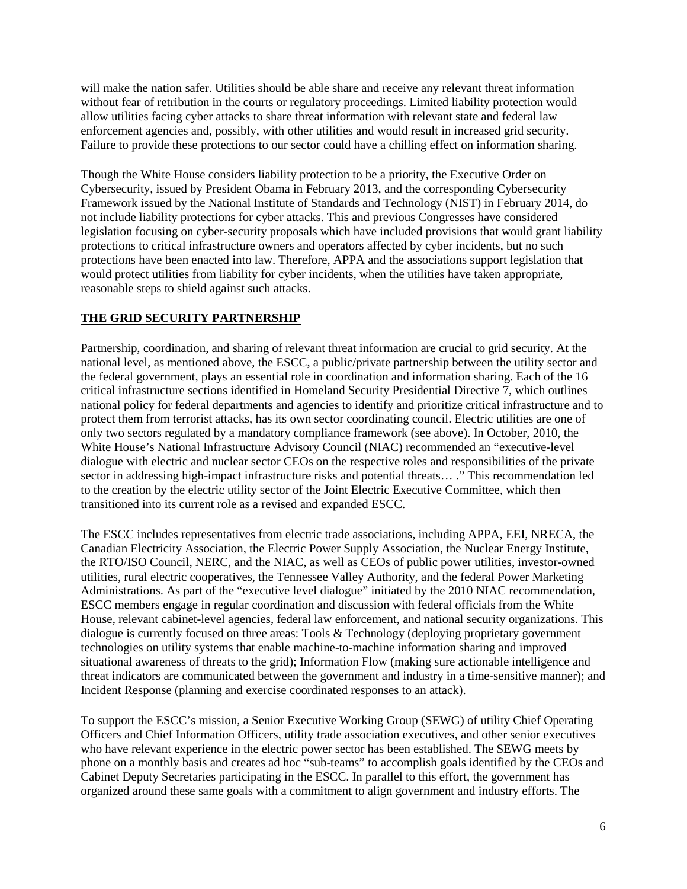will make the nation safer. Utilities should be able share and receive any relevant threat information without fear of retribution in the courts or regulatory proceedings. Limited liability protection would allow utilities facing cyber attacks to share threat information with relevant state and federal law enforcement agencies and, possibly, with other utilities and would result in increased grid security. Failure to provide these protections to our sector could have a chilling effect on information sharing.

Though the White House considers liability protection to be a priority, the Executive Order on Cybersecurity, issued by President Obama in February 2013, and the corresponding Cybersecurity Framework issued by the National Institute of Standards and Technology (NIST) in February 2014, do not include liability protections for cyber attacks. This and previous Congresses have considered legislation focusing on cyber-security proposals which have included provisions that would grant liability protections to critical infrastructure owners and operators affected by cyber incidents, but no such protections have been enacted into law. Therefore, APPA and the associations support legislation that would protect utilities from liability for cyber incidents, when the utilities have taken appropriate, reasonable steps to shield against such attacks.

## **THE GRID SECURITY PARTNERSHIP**

Partnership, coordination, and sharing of relevant threat information are crucial to grid security. At the national level, as mentioned above, the ESCC, a public/private partnership between the utility sector and the federal government, plays an essential role in coordination and information sharing. Each of the 16 critical infrastructure sections identified in Homeland Security Presidential Directive 7, which outlines national policy for federal departments and agencies to identify and prioritize critical infrastructure and to protect them from terrorist attacks, has its own sector coordinating council. Electric utilities are one of only two sectors regulated by a mandatory compliance framework (see above). In October, 2010, the White House's National Infrastructure Advisory Council (NIAC) recommended an "executive-level dialogue with electric and nuclear sector CEOs on the respective roles and responsibilities of the private sector in addressing high-impact infrastructure risks and potential threats… ." This recommendation led to the creation by the electric utility sector of the Joint Electric Executive Committee, which then transitioned into its current role as a revised and expanded ESCC.

The ESCC includes representatives from electric trade associations, including APPA, EEI, NRECA, the Canadian Electricity Association, the Electric Power Supply Association, the Nuclear Energy Institute, the RTO/ISO Council, NERC, and the NIAC, as well as CEOs of public power utilities, investor-owned utilities, rural electric cooperatives, the Tennessee Valley Authority, and the federal Power Marketing Administrations. As part of the "executive level dialogue" initiated by the 2010 NIAC recommendation, ESCC members engage in regular coordination and discussion with federal officials from the White House, relevant cabinet-level agencies, federal law enforcement, and national security organizations. This dialogue is currently focused on three areas: Tools & Technology (deploying proprietary government technologies on utility systems that enable machine-to-machine information sharing and improved situational awareness of threats to the grid); Information Flow (making sure actionable intelligence and threat indicators are communicated between the government and industry in a time-sensitive manner); and Incident Response (planning and exercise coordinated responses to an attack).

To support the ESCC's mission, a Senior Executive Working Group (SEWG) of utility Chief Operating Officers and Chief Information Officers, utility trade association executives, and other senior executives who have relevant experience in the electric power sector has been established. The SEWG meets by phone on a monthly basis and creates ad hoc "sub-teams" to accomplish goals identified by the CEOs and Cabinet Deputy Secretaries participating in the ESCC. In parallel to this effort, the government has organized around these same goals with a commitment to align government and industry efforts. The